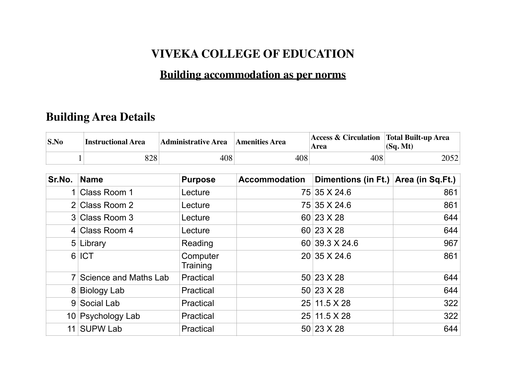## **VIVEKA COLLEGE OF EDUCATION**

## **Building accommodation as per norms**

## **Building Area Details**

| S.No   | <b>Instructional Area</b> | <b>Administrative Area</b> | <b>Amenities Area</b> | <b>Access &amp; Circulation   Total Built-up Area</b><br>Area | (Sq. Mt) |
|--------|---------------------------|----------------------------|-----------------------|---------------------------------------------------------------|----------|
|        | 828<br>1                  | 408                        | 408                   | 408                                                           | 2052     |
| Sr.No. | <b>Name</b>               | <b>Purpose</b>             | <b>Accommodation</b>  | Dimentions (in Ft.) Area (in Sq.Ft.)                          |          |
|        | 1 Class Room 1            | Lecture                    |                       | 75 35 X 24.6                                                  | 861      |
|        | 2 Class Room 2            | Lecture                    |                       | 75 35 X 24.6                                                  | 861      |
|        | 3 Class Room 3            | Lecture                    |                       | 60 23 X 28                                                    | 644      |
|        | 4 Class Room 4            | Lecture                    |                       | 60 23 X 28                                                    | 644      |
|        | 5 Library                 | Reading                    |                       | 60 39.3 X 24.6                                                | 967      |
|        | 6 ICT                     | Computer<br>Training       |                       | 20 35 X 24.6                                                  | 861      |
|        | 7 Science and Maths Lab   | Practical                  |                       | 50 23 X 28                                                    | 644      |
|        | 8 Biology Lab             | Practical                  |                       | 50 23 X 28                                                    | 644      |
|        | 9 Social Lab              | Practical                  |                       | 25 11.5 X 28                                                  | 322      |
|        | 10 Psychology Lab         | Practical                  |                       | 25 11.5 X 28                                                  | 322      |
|        | 11 SUPW Lab               | Practical                  |                       | 50 23 X 28                                                    | 644      |